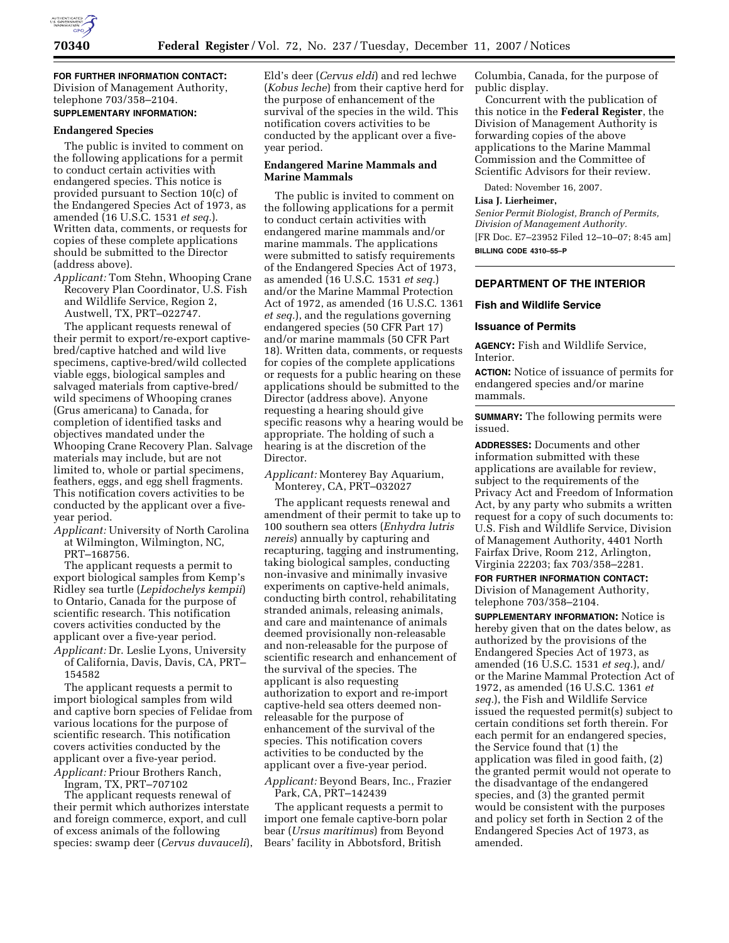

**FOR FURTHER INFORMATION CONTACT:**  Division of Management Authority, telephone 703/358–2104.

# **SUPPLEMENTARY INFORMATION:**

#### **Endangered Species**

The public is invited to comment on the following applications for a permit to conduct certain activities with endangered species. This notice is provided pursuant to Section 10(c) of the Endangered Species Act of 1973, as amended (16 U.S.C. 1531 *et seq.*). Written data, comments, or requests for copies of these complete applications should be submitted to the Director (address above).

*Applicant:* Tom Stehn, Whooping Crane Recovery Plan Coordinator, U.S. Fish and Wildlife Service, Region 2, Austwell, TX, PRT–022747.

The applicant requests renewal of their permit to export/re-export captivebred/captive hatched and wild live specimens, captive-bred/wild collected viable eggs, biological samples and salvaged materials from captive-bred/ wild specimens of Whooping cranes (Grus americana) to Canada, for completion of identified tasks and objectives mandated under the Whooping Crane Recovery Plan. Salvage materials may include, but are not limited to, whole or partial specimens, feathers, eggs, and egg shell fragments. This notification covers activities to be conducted by the applicant over a fiveyear period.

*Applicant:* University of North Carolina at Wilmington, Wilmington, NC, PRT–168756.

The applicant requests a permit to export biological samples from Kemp's Ridley sea turtle (*Lepidochelys kempii*) to Ontario, Canada for the purpose of scientific research. This notification covers activities conducted by the applicant over a five-year period. *Applicant:* Dr. Leslie Lyons, University

of California, Davis, Davis, CA, PRT– 154582

The applicant requests a permit to import biological samples from wild and captive born species of Felidae from various locations for the purpose of scientific research. This notification covers activities conducted by the applicant over a five-year period. *Applicant:* Priour Brothers Ranch,

Ingram, TX, PRT–707102

The applicant requests renewal of their permit which authorizes interstate and foreign commerce, export, and cull of excess animals of the following species: swamp deer (*Cervus duvauceli*),

Eld's deer (*Cervus eldi*) and red lechwe (*Kobus leche*) from their captive herd for the purpose of enhancement of the survival of the species in the wild. This notification covers activities to be conducted by the applicant over a fiveyear period.

### **Endangered Marine Mammals and Marine Mammals**

The public is invited to comment on the following applications for a permit to conduct certain activities with endangered marine mammals and/or marine mammals. The applications were submitted to satisfy requirements of the Endangered Species Act of 1973, as amended (16 U.S.C. 1531 *et seq.*) and/or the Marine Mammal Protection Act of 1972, as amended (16 U.S.C. 1361 *et seq.*), and the regulations governing endangered species (50 CFR Part 17) and/or marine mammals (50 CFR Part 18). Written data, comments, or requests for copies of the complete applications or requests for a public hearing on these applications should be submitted to the Director (address above). Anyone requesting a hearing should give specific reasons why a hearing would be appropriate. The holding of such a hearing is at the discretion of the Director.

*Applicant:* Monterey Bay Aquarium, Monterey, CA, PRT–032027

The applicant requests renewal and amendment of their permit to take up to 100 southern sea otters (*Enhydra lutris nereis*) annually by capturing and recapturing, tagging and instrumenting, taking biological samples, conducting non-invasive and minimally invasive experiments on captive-held animals, conducting birth control, rehabilitating stranded animals, releasing animals, and care and maintenance of animals deemed provisionally non-releasable and non-releasable for the purpose of scientific research and enhancement of the survival of the species. The applicant is also requesting authorization to export and re-import captive-held sea otters deemed nonreleasable for the purpose of enhancement of the survival of the species. This notification covers activities to be conducted by the applicant over a five-year period.

*Applicant:* Beyond Bears, Inc., Frazier Park, CA, PRT–142439

The applicant requests a permit to import one female captive-born polar bear (*Ursus maritimus*) from Beyond Bears' facility in Abbotsford, British

Columbia, Canada, for the purpose of public display.

Concurrent with the publication of this notice in the **Federal Register**, the Division of Management Authority is forwarding copies of the above applications to the Marine Mammal Commission and the Committee of Scientific Advisors for their review.

Dated: November 16, 2007.

#### **Lisa J. Lierheimer,**

*Senior Permit Biologist, Branch of Permits, Division of Management Authority.*  [FR Doc. E7–23952 Filed 12–10–07; 8:45 am] **BILLING CODE 4310–55–P** 

### **DEPARTMENT OF THE INTERIOR**

#### **Fish and Wildlife Service**

#### **Issuance of Permits**

**AGENCY:** Fish and Wildlife Service, Interior.

**ACTION:** Notice of issuance of permits for endangered species and/or marine mammals.

**SUMMARY:** The following permits were issued.

**ADDRESSES:** Documents and other information submitted with these applications are available for review, subject to the requirements of the Privacy Act and Freedom of Information Act, by any party who submits a written request for a copy of such documents to: U.S. Fish and Wildlife Service, Division of Management Authority, 4401 North Fairfax Drive, Room 212, Arlington, Virginia 22203; fax 703/358–2281.

**FOR FURTHER INFORMATION CONTACT:**  Division of Management Authority, telephone 703/358–2104.

**SUPPLEMENTARY INFORMATION:** Notice is hereby given that on the dates below, as authorized by the provisions of the Endangered Species Act of 1973, as amended (16 U.S.C. 1531 *et seq.*), and/ or the Marine Mammal Protection Act of 1972, as amended (16 U.S.C. 1361 *et seq.*), the Fish and Wildlife Service issued the requested permit(s) subject to certain conditions set forth therein. For each permit for an endangered species, the Service found that (1) the application was filed in good faith, (2) the granted permit would not operate to the disadvantage of the endangered species, and (3) the granted permit would be consistent with the purposes and policy set forth in Section 2 of the Endangered Species Act of 1973, as amended.